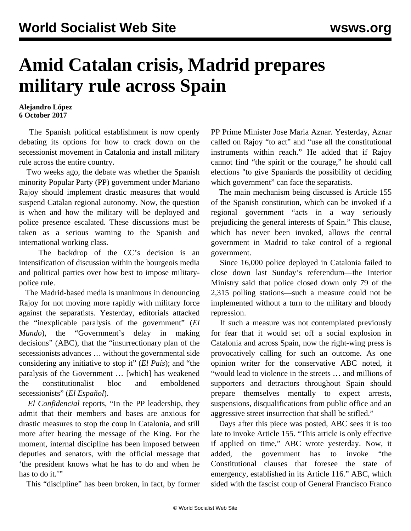## **Amid Catalan crisis, Madrid prepares military rule across Spain**

**Alejandro López 6 October 2017**

 The Spanish political establishment is now openly debating its options for how to crack down on the secessionist movement in Catalonia and install military rule across the entire country.

 Two weeks ago, the debate was whether the Spanish minority Popular Party (PP) government under Mariano Rajoy should implement drastic measures that would suspend Catalan regional autonomy. Now, the question is when and how the military will be deployed and police presence escalated. These discussions must be taken as a serious warning to the Spanish and international working class.

 The backdrop of the CC's decision is an intensification of discussion within the bourgeois media and political parties over how best to impose militarypolice rule.

 The Madrid-based media is unanimous in denouncing Rajoy for not moving more rapidly with military force against the separatists. Yesterday, editorials attacked the "inexplicable paralysis of the government" (*El Mundo*), the "Government's delay in making decisions" (ABC), that the "insurrectionary plan of the secessionists advances … without the governmental side considering any initiative to stop it" (*El País*); and "the paralysis of the Government … [which] has weakened the constitutionalist bloc and emboldened secessionists" (*El Español*).

 *El Confidencial* reports, "In the PP leadership, they admit that their members and bases are anxious for drastic measures to stop the coup in Catalonia, and still more after hearing the message of the King. For the moment, internal discipline has been imposed between deputies and senators, with the official message that 'the president knows what he has to do and when he has to do it."

This "discipline" has been broken, in fact, by former

PP Prime Minister Jose Maria Aznar. Yesterday, Aznar called on Rajoy "to act" and "use all the constitutional instruments within reach." He added that if Rajoy cannot find "the spirit or the courage," he should call elections "to give Spaniards the possibility of deciding which government" can face the separatists.

 The main mechanism being discussed is Article 155 of the Spanish constitution, which can be invoked if a regional government "acts in a way seriously prejudicing the general interests of Spain." This clause, which has never been invoked, allows the central government in Madrid to take control of a regional government.

 Since 16,000 police deployed in Catalonia failed to close down last Sunday's referendum—the Interior Ministry said that police closed down only 79 of the 2,315 polling stations—such a measure could not be implemented without a turn to the military and bloody repression.

 If such a measure was not contemplated previously for fear that it would set off a social explosion in Catalonia and across Spain, now the right-wing press is provocatively calling for such an outcome. As one opinion writer for the conservative ABC noted, it "would lead to violence in the streets … and millions of supporters and detractors throughout Spain should prepare themselves mentally to expect arrests, suspensions, disqualifications from public office and an aggressive street insurrection that shall be stifled."

 Days after this piece was posted, ABC sees it is too late to invoke Article 155. "This article is only effective if applied on time," ABC wrote yesterday. Now, it added, the government has to invoke "the Constitutional clauses that foresee the state of emergency, established in its Article 116." ABC, which sided with the fascist coup of General Francisco Franco